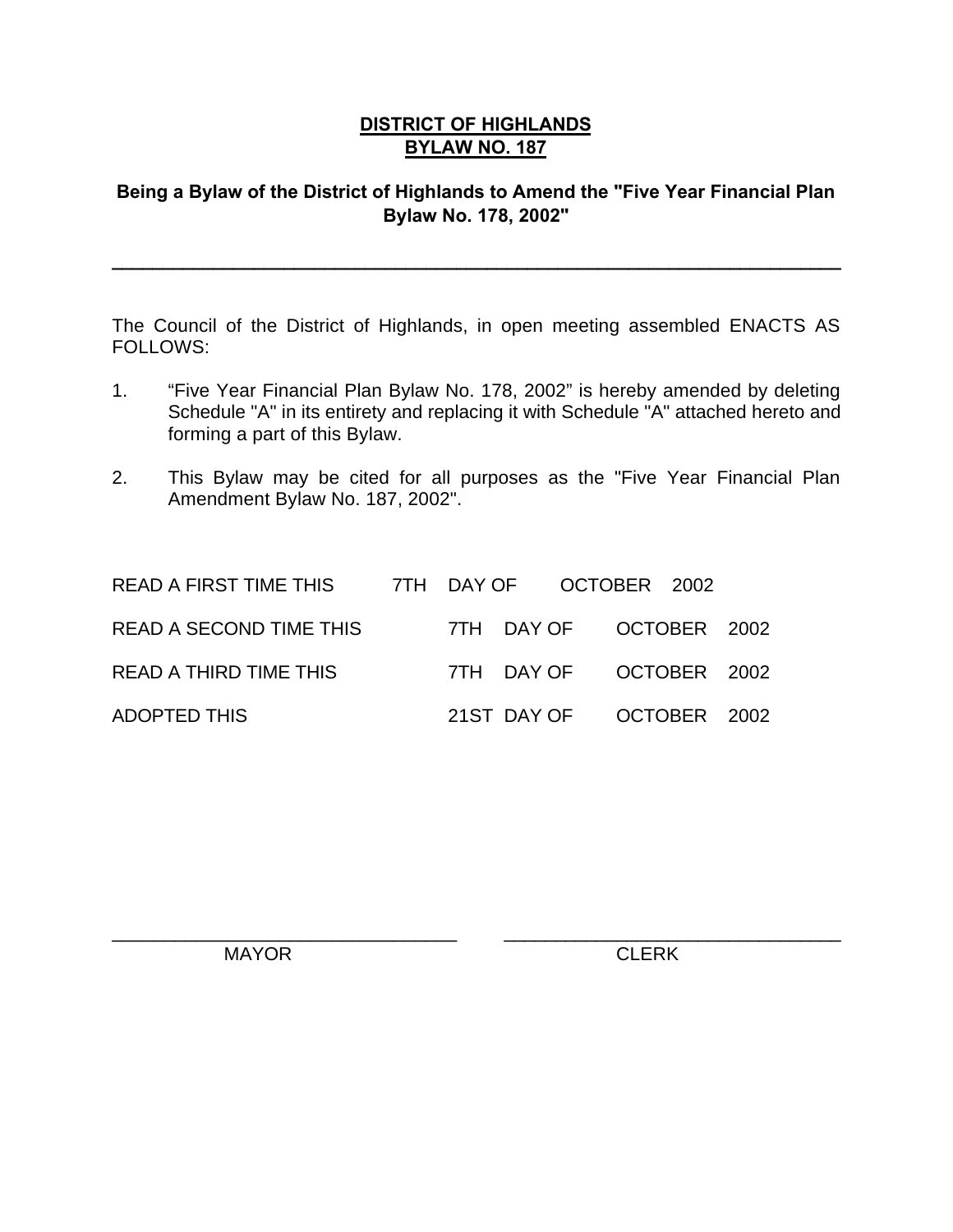#### **DISTRICT OF HIGHLANDS BYLAW NO. 187**

#### **Being a Bylaw of the District of Highlands to Amend the "Five Year Financial Plan Bylaw No. 178, 2002"**

**\_\_\_\_\_\_\_\_\_\_\_\_\_\_\_\_\_\_\_\_\_\_\_\_\_\_\_\_\_\_\_\_\_\_\_\_\_\_\_\_\_\_\_\_\_\_\_\_\_\_\_\_\_\_\_\_\_\_\_\_\_\_\_\_\_\_\_\_\_\_\_\_**

The Council of the District of Highlands, in open meeting assembled ENACTS AS FOLLOWS:

- 1. "Five Year Financial Plan Bylaw No. 178, 2002" is hereby amended by deleting Schedule "A" in its entirety and replacing it with Schedule "A" attached hereto and forming a part of this Bylaw.
- 2. This Bylaw may be cited for all purposes as the "Five Year Financial Plan Amendment Bylaw No. 187, 2002".

 $\overline{\phantom{a}}$  , and the contribution of the contribution of  $\overline{\phantom{a}}$  , and  $\overline{\phantom{a}}$  , and  $\overline{\phantom{a}}$  , and  $\overline{\phantom{a}}$  , and  $\overline{\phantom{a}}$  , and  $\overline{\phantom{a}}$  , and  $\overline{\phantom{a}}$  , and  $\overline{\phantom{a}}$  , and  $\overline{\phantom{a}}$  , and

| READ A FIRST TIME THIS 7TH DAY OF OCTOBER 2002 |  |                          |  |  |
|------------------------------------------------|--|--------------------------|--|--|
| READ A SECOND TIME THIS                        |  | 7TH DAY OF OCTOBER 2002  |  |  |
| READ A THIRD TIME THIS                         |  | 7TH DAY OF OCTOBER 2002  |  |  |
| <b>ADOPTED THIS</b>                            |  | 21ST DAY OF OCTOBER 2002 |  |  |

MAYOR CLERK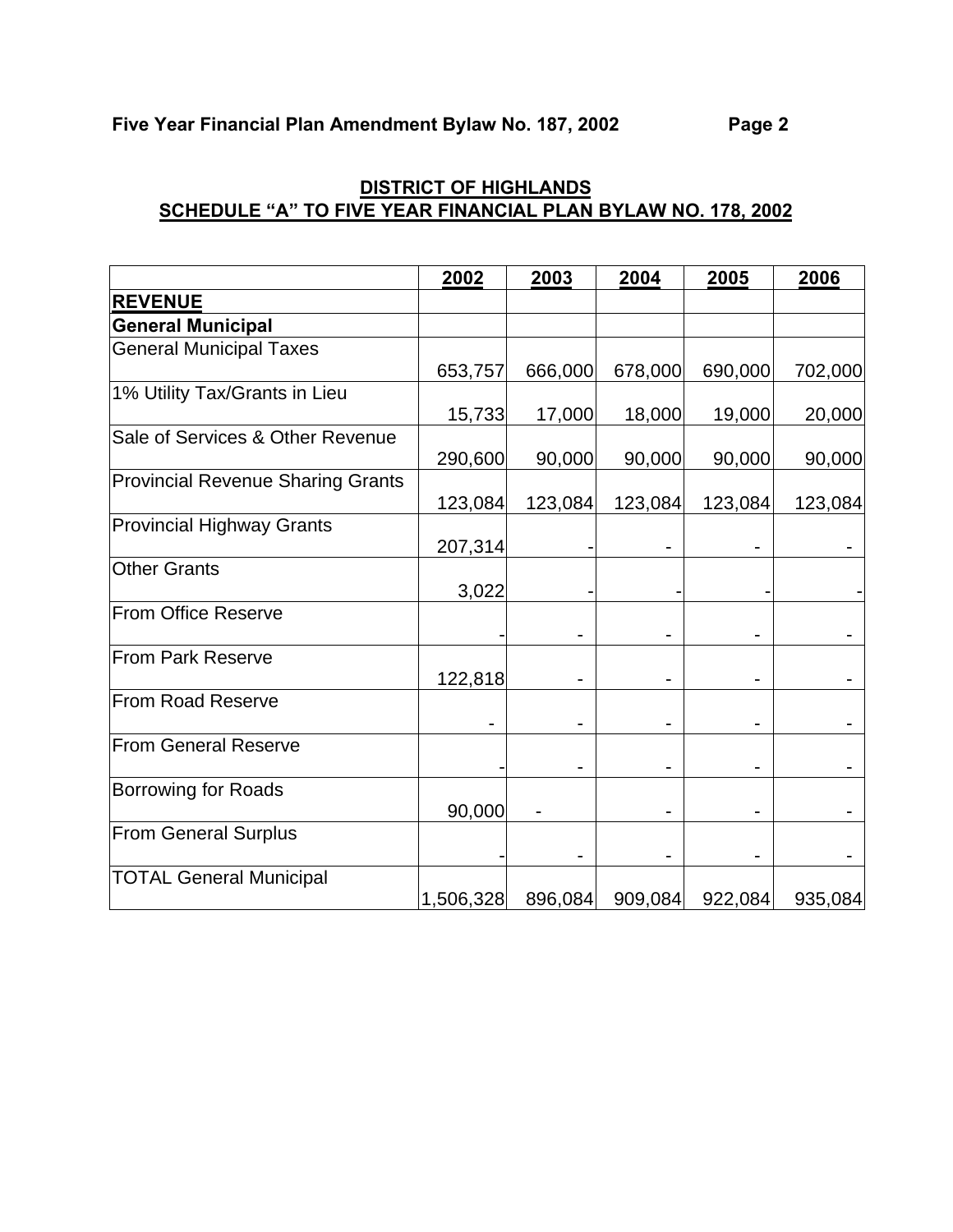|                                          | 2002      | 2003    | 2004    | 2005    | 2006    |
|------------------------------------------|-----------|---------|---------|---------|---------|
| <b>REVENUE</b>                           |           |         |         |         |         |
| <b>General Municipal</b>                 |           |         |         |         |         |
| <b>General Municipal Taxes</b>           |           |         |         |         |         |
|                                          | 653,757   | 666,000 | 678,000 | 690,000 | 702,000 |
| 1% Utility Tax/Grants in Lieu            |           |         |         |         |         |
|                                          | 15,733    | 17,000  | 18,000  | 19,000  | 20,000  |
| Sale of Services & Other Revenue         |           |         |         |         |         |
|                                          | 290,600   | 90,000  | 90,000  | 90,000  | 90,000  |
| <b>Provincial Revenue Sharing Grants</b> |           |         |         |         |         |
|                                          | 123,084   | 123,084 | 123,084 | 123,084 | 123,084 |
| <b>Provincial Highway Grants</b>         |           |         |         |         |         |
|                                          | 207,314   |         |         |         |         |
| <b>Other Grants</b>                      |           |         |         |         |         |
|                                          | 3,022     |         |         |         |         |
| From Office Reserve                      |           |         |         |         |         |
|                                          |           |         |         |         |         |
| <b>From Park Reserve</b>                 |           |         |         |         |         |
|                                          | 122,818   |         |         |         |         |
| <b>From Road Reserve</b>                 |           |         |         |         |         |
|                                          |           |         |         |         |         |
| <b>From General Reserve</b>              |           |         |         |         |         |
|                                          |           |         |         |         |         |
| <b>Borrowing for Roads</b>               |           |         |         |         |         |
|                                          | 90,000    |         |         |         |         |
| <b>From General Surplus</b>              |           |         |         |         |         |
|                                          |           |         |         |         |         |
| <b>TOTAL General Municipal</b>           |           |         |         |         |         |
|                                          | 1,506,328 | 896,084 | 909,084 | 922,084 | 935,084 |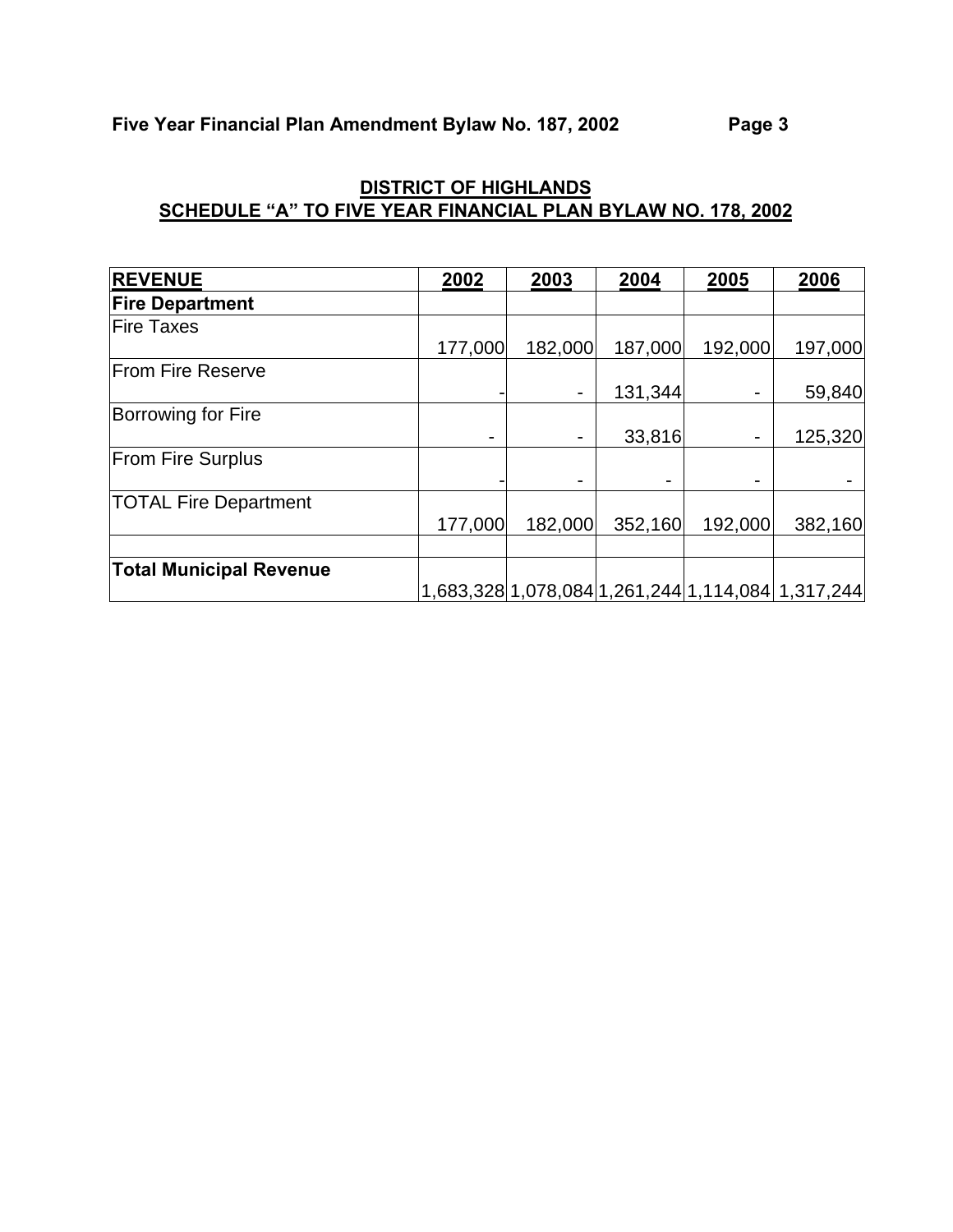| <b>REVENUE</b>                 | 2002    | 2003           | 2004    | 2005    | 2006                                              |
|--------------------------------|---------|----------------|---------|---------|---------------------------------------------------|
| <b>Fire Department</b>         |         |                |         |         |                                                   |
| <b>Fire Taxes</b>              |         |                |         |         |                                                   |
|                                | 177,000 | 182,000        | 187,000 | 192,000 | 197,000                                           |
| <b>From Fire Reserve</b>       |         |                |         |         |                                                   |
|                                |         | $\blacksquare$ | 131,344 | -       | 59,840                                            |
| Borrowing for Fire             |         |                |         |         |                                                   |
|                                |         |                | 33,816  |         | 125,320                                           |
| <b>From Fire Surplus</b>       |         |                |         |         |                                                   |
|                                |         |                |         |         |                                                   |
| <b>TOTAL Fire Department</b>   |         |                |         |         |                                                   |
|                                | 177,000 | 182,000        | 352,160 | 192,000 | 382,160                                           |
|                                |         |                |         |         |                                                   |
| <b>Total Municipal Revenue</b> |         |                |         |         |                                                   |
|                                |         |                |         |         | 1,683,328 1,078,084 1,261,244 1,114,084 1,317,244 |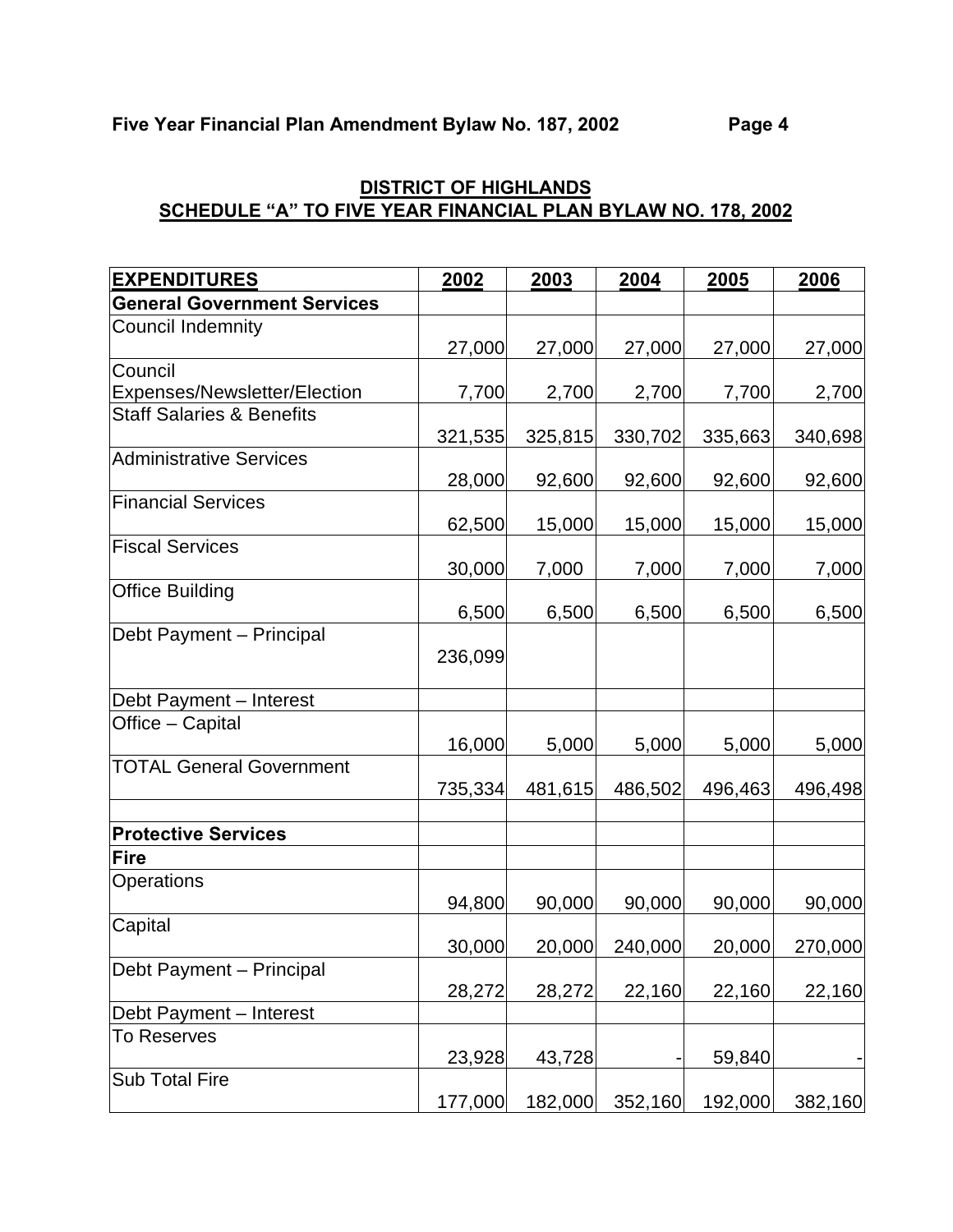| <b>EXPENDITURES</b>                  | 2002    | 2003    | 2004    | 2005    | 2006    |
|--------------------------------------|---------|---------|---------|---------|---------|
| <b>General Government Services</b>   |         |         |         |         |         |
| <b>Council Indemnity</b>             |         |         |         |         |         |
|                                      | 27,000  | 27,000  | 27,000  | 27,000  | 27,000  |
| Council                              |         |         |         |         |         |
| Expenses/Newsletter/Election         | 7,700   | 2,700   | 2,700   | 7,700   | 2,700   |
| <b>Staff Salaries &amp; Benefits</b> | 321,535 | 325,815 | 330,702 | 335,663 | 340,698 |
| <b>Administrative Services</b>       | 28,000  | 92,600  | 92,600  | 92,600  | 92,600  |
| <b>Financial Services</b>            |         |         |         |         |         |
|                                      | 62,500  | 15,000  | 15,000  | 15,000  | 15,000  |
| <b>Fiscal Services</b>               |         |         |         |         |         |
| <b>Office Building</b>               | 30,000  | 7,000   | 7,000   | 7,000   | 7,000   |
|                                      | 6,500   | 6,500   | 6,500   | 6,500   | 6,500   |
| Debt Payment - Principal             | 236,099 |         |         |         |         |
| Debt Payment - Interest              |         |         |         |         |         |
| Office - Capital                     | 16,000  | 5,000   | 5,000   | 5,000   | 5,000   |
| <b>TOTAL General Government</b>      | 735,334 | 481,615 | 486,502 | 496,463 | 496,498 |
| <b>Protective Services</b>           |         |         |         |         |         |
| <b>Fire</b>                          |         |         |         |         |         |
| Operations                           | 94,800  | 90,000  | 90,000  | 90,000  | 90,000  |
| Capital                              |         |         |         |         |         |
|                                      | 30,000  | 20,000  | 240,000 | 20,000  | 270,000 |
| Debt Payment - Principal             | 28,272  | 28,272  | 22,160  | 22,160  | 22,160  |
| Debt Payment - Interest              |         |         |         |         |         |
| <b>To Reserves</b>                   |         |         |         |         |         |
|                                      | 23,928  | 43,728  |         | 59,840  |         |
| <b>Sub Total Fire</b>                | 177,000 | 182,000 | 352,160 | 192,000 | 382,160 |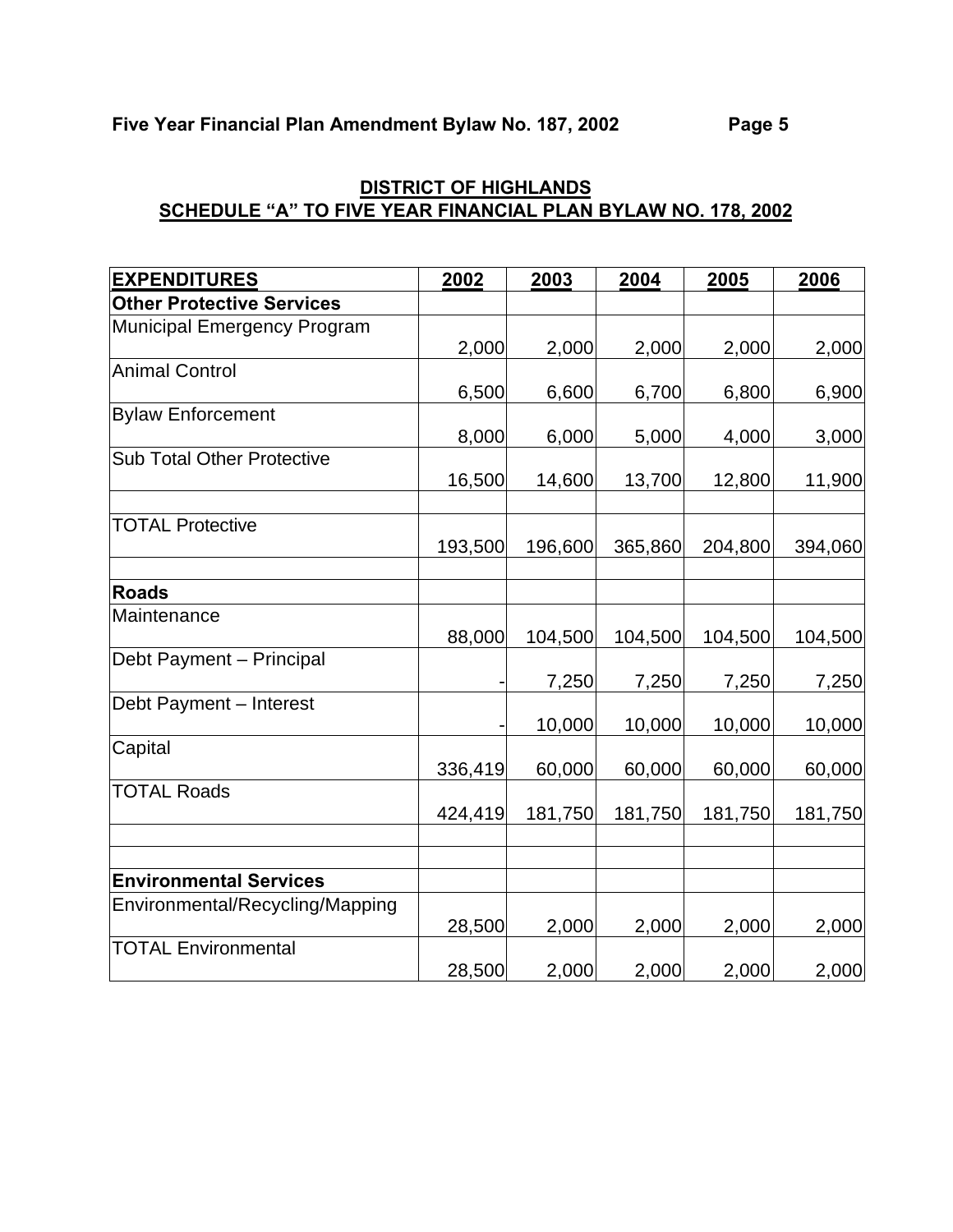| <b>EXPENDITURES</b>               | 2002    | 2003    | 2004    | 2005    | 2006    |
|-----------------------------------|---------|---------|---------|---------|---------|
| <b>Other Protective Services</b>  |         |         |         |         |         |
| Municipal Emergency Program       |         |         |         |         |         |
|                                   | 2,000   | 2,000   | 2,000   | 2,000   | 2,000   |
| <b>Animal Control</b>             |         |         |         |         |         |
|                                   | 6,500   | 6,600   | 6,700   | 6,800   | 6,900   |
| <b>Bylaw Enforcement</b>          |         |         |         |         |         |
|                                   | 8,000   | 6,000   | 5,000   | 4,000   | 3,000   |
| <b>Sub Total Other Protective</b> |         |         |         |         |         |
|                                   | 16,500  | 14,600  | 13,700  | 12,800  | 11,900  |
| <b>TOTAL Protective</b>           |         |         |         |         |         |
|                                   | 193,500 | 196,600 | 365,860 | 204,800 | 394,060 |
|                                   |         |         |         |         |         |
| <b>Roads</b>                      |         |         |         |         |         |
| Maintenance                       |         |         |         |         |         |
|                                   | 88,000  | 104,500 | 104,500 | 104,500 | 104,500 |
| Debt Payment - Principal          |         |         |         |         |         |
|                                   |         | 7,250   | 7,250   | 7,250   | 7,250   |
| Debt Payment - Interest           |         |         |         |         |         |
|                                   |         | 10,000  | 10,000  | 10,000  | 10,000  |
| Capital                           |         |         |         |         |         |
|                                   | 336,419 | 60,000  | 60,000  | 60,000  | 60,000  |
| <b>TOTAL Roads</b>                |         |         |         |         |         |
|                                   | 424,419 | 181,750 | 181,750 | 181,750 | 181,750 |
|                                   |         |         |         |         |         |
| <b>Environmental Services</b>     |         |         |         |         |         |
| Environmental/Recycling/Mapping   |         |         |         |         |         |
|                                   | 28,500  | 2,000   | 2,000   | 2,000   | 2,000   |
| <b>TOTAL Environmental</b>        |         |         |         |         |         |
|                                   | 28,500  | 2,000   | 2,000   | 2,000   | 2,000   |